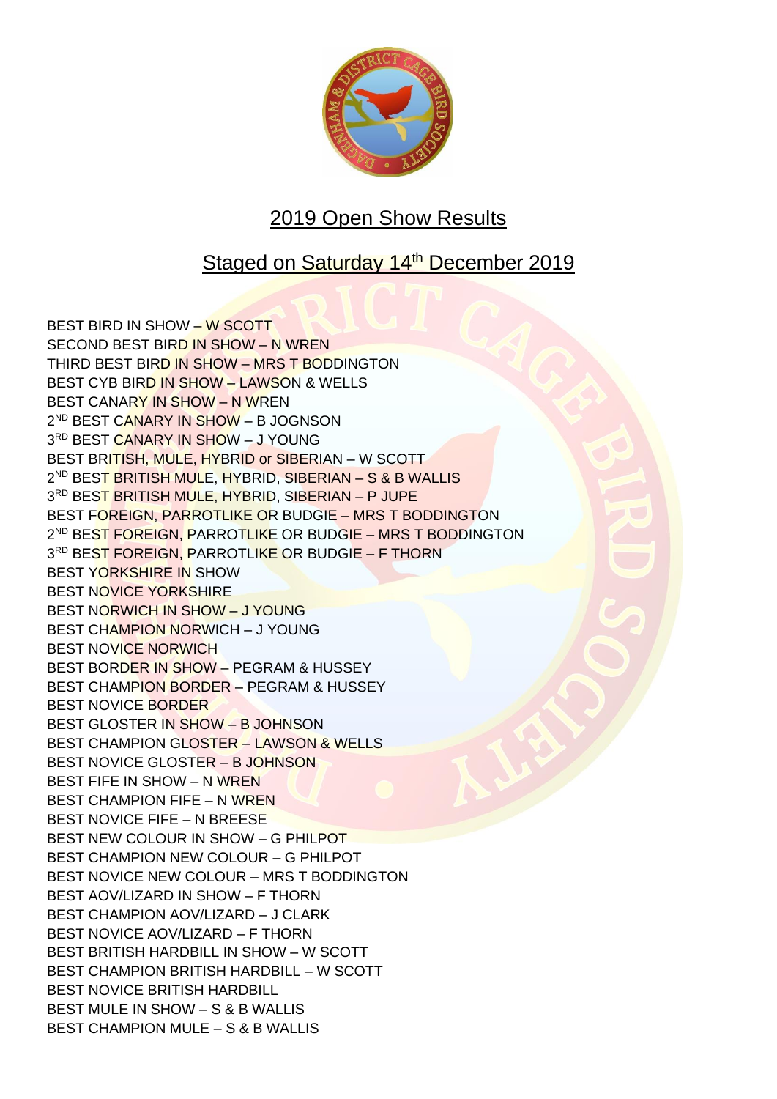

## 2019 Open Show Results

## Staged on Saturday 14th December 2019

BEST BIRD IN SHOW – W SCOTT SECOND BEST BIRD IN SHOW – N WREN THIRD BEST BIRD IN SHOW – MRS T BODDINGTON BEST CYB BIRD IN SHOW – LAWSON & WELLS BEST CANARY IN SHOW – N WREN 2<sup>ND</sup> BEST C<mark>ANARY IN SHOW</mark> – B JOGNSON 3<sup>RD</sup> BEST <mark>CANARY IN SHO</mark>W – J YOUNG BEST BRITISH, MULE, HYBRID or SIBERIAN – W SCOTT 2<sup>ND</sup> BES<mark>T BRITISH MULE, HYBRID, SIBERIAN – S & B WALLIS</mark> 3<sup>rd</sup> BES<mark>T BRITISH MULE, HYBRID</mark>, SIB<mark>ERIAN – P JUPE</mark> BEST FOREIGN, PARROTLIKE OR BUDGIE – MRS T BODDINGTON 2<sup>ND</sup> BE<mark>ST FOREIGN, P</mark>ARROT<mark>LIKE</mark> OR BUDG<mark>IE – MRS T BODD</mark>INGTON 3<sup>RD</sup> BEST FOREIGN, PARROTLI<mark>KE</mark> OR BUDGIE – F THORN BEST YORKSHIRE IN SHOW BEST NOVICE YORKSHIRE BEST NORWICH IN SHOW – J YOUNG BEST CHAMPION NORWICH – J YOUNG BEST NOVICE NORWICH BEST BORDER IN SHOW – PEGRAM & HUSSEY BEST CHAMPION BORDER – PEGRAM & HUSSEY BEST NOVICE BORDER BEST GLOSTER IN SHOW – B JOHNSON BEST CHAMPION GLOSTER – LAWSON & WELLS BEST NOVICE GLOSTER – B JOHNSON BEST FIFE IN SHOW – N WREN BEST CHAMPION FIFE – N WREN BEST NOVICE FIFE – N BREESE BEST NEW COLOUR IN SHOW – G PHILPOT BEST CHAMPION NEW COLOUR – G PHILPOT BEST NOVICE NEW COLOUR – MRS T BODDINGTON BEST AOV/LIZARD IN SHOW – F THORN BEST CHAMPION AOV/LIZARD – J CLARK BEST NOVICE AOV/LIZARD – F THORN BEST BRITISH HARDBILL IN SHOW – W SCOTT BEST CHAMPION BRITISH HARDBILL – W SCOTT BEST NOVICE BRITISH HARDBILL BEST MULE IN SHOW – S & B WALLIS BEST CHAMPION MULE – S & B WALLIS